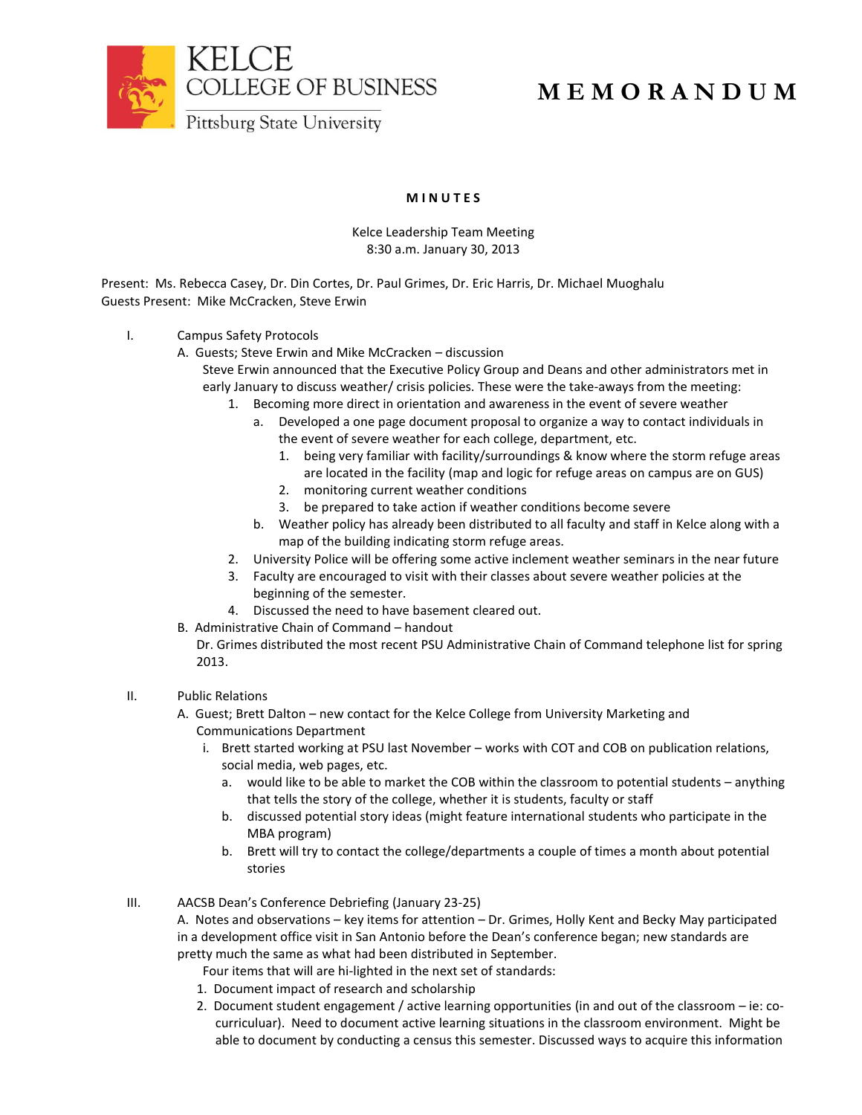

# **M E M O R A N D U M**

### **M I N U T E S**

#### Kelce Leadership Team Meeting 8:30 a.m. January 30, 2013

Present: Ms. Rebecca Casey, Dr. Din Cortes, Dr. Paul Grimes, Dr. Eric Harris, Dr. Michael Muoghalu Guests Present: Mike McCracken, Steve Erwin

- I. Campus Safety Protocols
	- A. Guests; Steve Erwin and Mike McCracken discussion
		- Steve Erwin announced that the Executive Policy Group and Deans and other administrators met in early January to discuss weather/ crisis policies. These were the take-aways from the meeting:
			- 1. Becoming more direct in orientation and awareness in the event of severe weather
				- a. Developed a one page document proposal to organize a way to contact individuals in the event of severe weather for each college, department, etc.
					- 1. being very familiar with facility/surroundings & know where the storm refuge areas are located in the facility (map and logic for refuge areas on campus are on GUS)
					- 2. monitoring current weather conditions
					- 3. be prepared to take action if weather conditions become severe
				- b. Weather policy has already been distributed to all faculty and staff in Kelce along with a map of the building indicating storm refuge areas.
			- 2. University Police will be offering some active inclement weather seminars in the near future
			- 3. Faculty are encouraged to visit with their classes about severe weather policies at the beginning of the semester.
			- 4. Discussed the need to have basement cleared out.
	- B. Administrative Chain of Command handout
		- Dr. Grimes distributed the most recent PSU Administrative Chain of Command telephone list for spring 2013.

### II. Public Relations

- A. Guest; Brett Dalton new contact for the Kelce College from University Marketing and Communications Department
	- i. Brett started working at PSU last November works with COT and COB on publication relations, social media, web pages, etc.
		- a. would like to be able to market the COB within the classroom to potential students anything that tells the story of the college, whether it is students, faculty or staff
		- b. discussed potential story ideas (might feature international students who participate in the MBA program)
		- b. Brett will try to contact the college/departments a couple of times a month about potential stories
- III. AACSB Dean's Conference Debriefing (January 23-25)
	- A. Notes and observations key items for attention Dr. Grimes, Holly Kent and Becky May participated in a development office visit in San Antonio before the Dean's conference began; new standards are pretty much the same as what had been distributed in September.
		- Four items that will are hi-lighted in the next set of standards:
		- 1. Document impact of research and scholarship
		- 2. Document student engagement / active learning opportunities (in and out of the classroom ie: cocurriculuar). Need to document active learning situations in the classroom environment. Might be able to document by conducting a census this semester. Discussed ways to acquire this information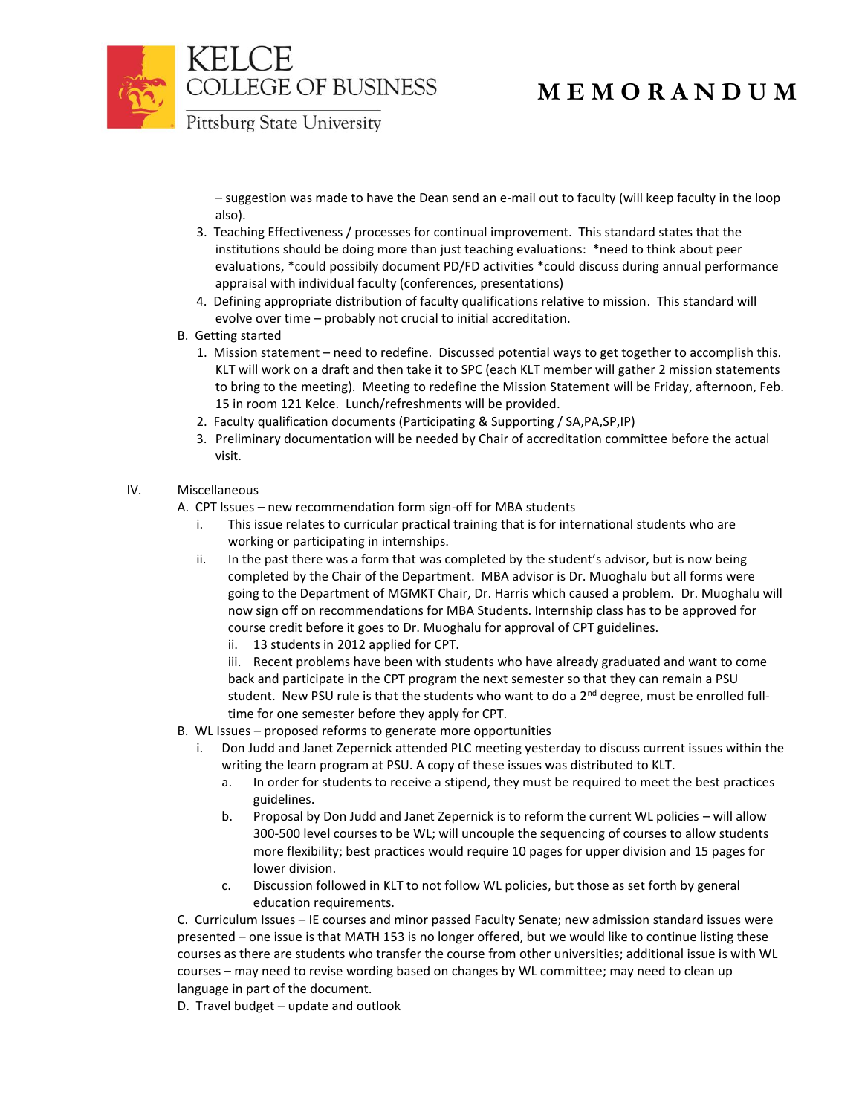

COLLEGE OF BUSINESS

# **M E M O R A N D U M**

Pittsburg State University

– suggestion was made to have the Dean send an e-mail out to faculty (will keep faculty in the loop also).

- 3. Teaching Effectiveness / processes for continual improvement. This standard states that the institutions should be doing more than just teaching evaluations: \*need to think about peer evaluations, \*could possibily document PD/FD activities \*could discuss during annual performance appraisal with individual faculty (conferences, presentations)
- 4. Defining appropriate distribution of faculty qualifications relative to mission. This standard will evolve over time – probably not crucial to initial accreditation.
- B. Getting started
	- 1. Mission statement need to redefine. Discussed potential ways to get together to accomplish this. KLT will work on a draft and then take it to SPC (each KLT member will gather 2 mission statements to bring to the meeting). Meeting to redefine the Mission Statement will be Friday, afternoon, Feb. 15 in room 121 Kelce. Lunch/refreshments will be provided.
	- 2. Faculty qualification documents (Participating & Supporting / SA,PA,SP,IP)
	- 3. Preliminary documentation will be needed by Chair of accreditation committee before the actual visit.

### IV. Miscellaneous

A. CPT Issues – new recommendation form sign-off for MBA students

- i. This issue relates to curricular practical training that is for international students who are working or participating in internships.
- ii. In the past there was a form that was completed by the student's advisor, but is now being completed by the Chair of the Department. MBA advisor is Dr. Muoghalu but all forms were going to the Department of MGMKT Chair, Dr. Harris which caused a problem. Dr. Muoghalu will now sign off on recommendations for MBA Students. Internship class has to be approved for course credit before it goes to Dr. Muoghalu for approval of CPT guidelines.
	- ii. 13 students in 2012 applied for CPT.

iii. Recent problems have been with students who have already graduated and want to come back and participate in the CPT program the next semester so that they can remain a PSU student. New PSU rule is that the students who want to do a  $2^{nd}$  degree, must be enrolled fulltime for one semester before they apply for CPT.

- B. WL Issues proposed reforms to generate more opportunities
	- i. Don Judd and Janet Zepernick attended PLC meeting yesterday to discuss current issues within the writing the learn program at PSU. A copy of these issues was distributed to KLT.
		- a. In order for students to receive a stipend, they must be required to meet the best practices guidelines.
		- b. Proposal by Don Judd and Janet Zepernick is to reform the current WL policies will allow 300-500 level courses to be WL; will uncouple the sequencing of courses to allow students more flexibility; best practices would require 10 pages for upper division and 15 pages for lower division.
		- c. Discussion followed in KLT to not follow WL policies, but those as set forth by general education requirements.

C. Curriculum Issues – IE courses and minor passed Faculty Senate; new admission standard issues were presented – one issue is that MATH 153 is no longer offered, but we would like to continue listing these courses as there are students who transfer the course from other universities; additional issue is with WL courses – may need to revise wording based on changes by WL committee; may need to clean up language in part of the document.

D. Travel budget – update and outlook